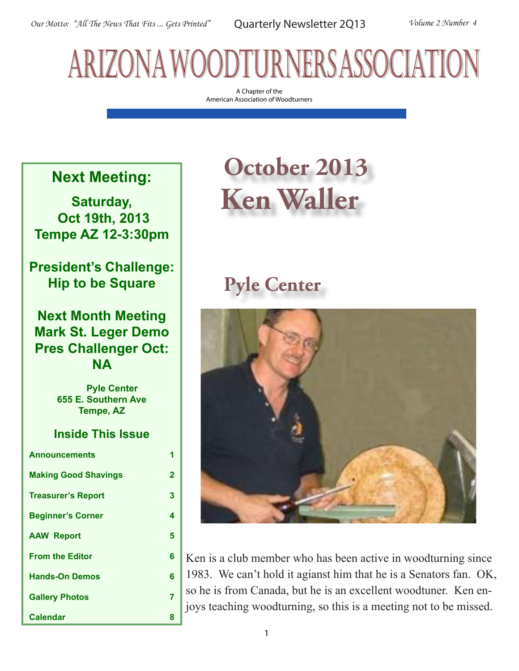# arizona woodturners association

A Chapter of the American Association of Woodturners

## **Next Meeting:**

**Saturday, Oct 19th, 2013 Tempe AZ 12-3:30pm**

**President's Challenge: Hip to be Square**

### **Next Month Meeting Mark St. Leger Demo Pres Challenger Oct: NA**

 **Pyle Center 655 E. Southern Ave Tempe, AZ**

### **Inside This Issue**

| <b>Announcements</b>        | 1              |
|-----------------------------|----------------|
| <b>Making Good Shavings</b> | $\overline{2}$ |
| <b>Treasurer's Report</b>   | 3              |
| <b>Beginner's Corner</b>    | 4              |
| <b>AAW Report</b>           | 5              |
| <b>From the Editor</b>      | 6              |
| <b>Hands-On Demos</b>       | 6              |
| <b>Gallery Photos</b>       | 7              |
| <b>Calendar</b>             | 8              |

## **October 2013 Ken Waller**

## **Pyle Center**



Ken is a club member who has been active in woodturning since 1983. We can't hold it agianst him that he is a Senators fan. OK, so he is from Canada, but he is an excellent woodtuner. Ken enjoys teaching woodturning, so this is a meeting not to be missed.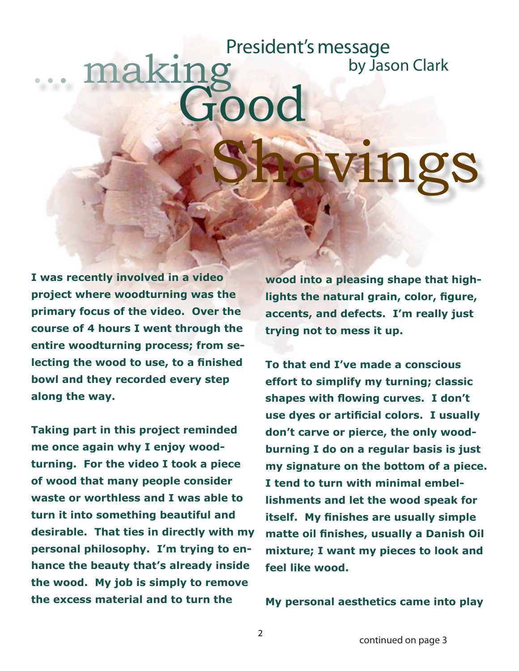# ... making  $\Omega$ Shavings President's message by Jason Clark

**I was recently involved in a video project where woodturning was the primary focus of the video. Over the course of 4 hours I went through the entire woodturning process; from selecting the wood to use, to a finished bowl and they recorded every step along the way.**

**Taking part in this project reminded me once again why I enjoy woodturning. For the video I took a piece of wood that many people consider waste or worthless and I was able to turn it into something beautiful and desirable. That ties in directly with my personal philosophy. I'm trying to enhance the beauty that's already inside the wood. My job is simply to remove the excess material and to turn the** 

**wood into a pleasing shape that highlights the natural grain, color, figure, accents, and defects. I'm really just trying not to mess it up.** 

**To that end I've made a conscious effort to simplify my turning; classic shapes with flowing curves. I don't use dyes or artificial colors. I usually don't carve or pierce, the only woodburning I do on a regular basis is just my signature on the bottom of a piece. I tend to turn with minimal embellishments and let the wood speak for itself. My finishes are usually simple matte oil finishes, usually a Danish Oil mixture; I want my pieces to look and feel like wood.**

**My personal aesthetics came into play**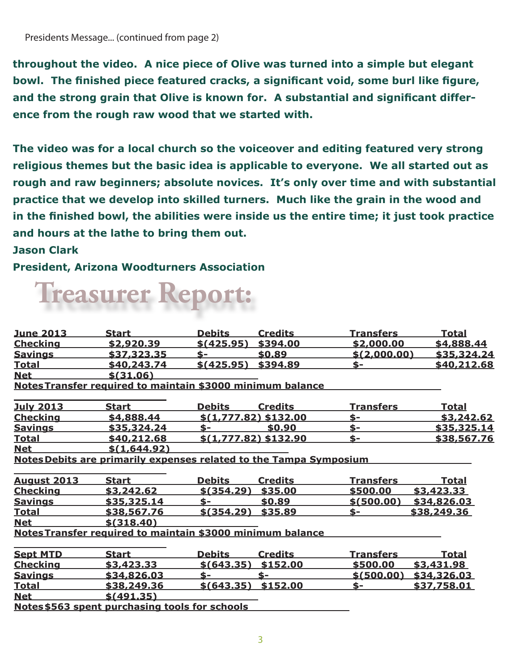**throughout the video. A nice piece of Olive was turned into a simple but elegant bowl. The finished piece featured cracks, a significant void, some burl like figure, and the strong grain that Olive is known for. A substantial and significant difference from the rough raw wood that we started with.** 

**The video was for a local church so the voiceover and editing featured very strong religious themes but the basic idea is applicable to everyone. We all started out as rough and raw beginners; absolute novices. It's only over time and with substantial practice that we develop into skilled turners. Much like the grain in the wood and in the finished bowl, the abilities were inside us the entire time; it just took practice and hours at the lathe to bring them out.** 

#### **Jason Clark**

**President, Arizona Woodturners Association**

# **Treasurer Report:**

| <u>June 2013</u>   | <b>Start</b>                                                       | <b>Debits</b>        | <u>Credits</u>        | <u>Transfers</u> | <u>Total</u> |
|--------------------|--------------------------------------------------------------------|----------------------|-----------------------|------------------|--------------|
| <b>Checking</b>    | \$2,920.39                                                         | \$ (425.95)          | \$394.00              | \$2,000.00       | \$4,888.44   |
| <u>Savings</u>     | \$37,323.35                                                        | $S-$                 | \$0.89                | \$(2,000.00)     | \$35,324.24  |
| <b>Total</b>       | \$40,243.74                                                        | \$ (425.95)          | \$394.89              | \$-              | \$40,212.68  |
| <b>Net</b>         | \$ (31.06)                                                         |                      |                       |                  |              |
|                    | Notes Transfer required to maintain \$3000 minimum balance         |                      |                       |                  |              |
| <b>July 2013</b>   | <b>Start</b>                                                       | <b>Debits</b>        | <b>Credits</b>        | <b>Transfers</b> | <u>Total</u> |
| <b>Checking</b>    | \$4,888.44                                                         |                      | \$(1,777.82) \$132.00 | \$-              | \$3,242.62   |
| <b>Savings</b>     | \$35,324.24                                                        | $S-$                 | \$0.90                | $$-$             | \$35,325.14  |
| <u>Total</u>       | \$40,212.68                                                        |                      | \$(1,777.82) \$132.90 | $S-$             | \$38,567.76  |
| <b>Net</b>         | \$(1,644.92)                                                       |                      |                       |                  |              |
|                    | Notes Debits are primarily expenses related to the Tampa Symposium |                      |                       |                  |              |
| <b>August 2013</b> | <b>Start</b>                                                       | <b>Debits</b>        | <b>Credits</b>        | Transfers        | <u>Total</u> |
| <b>Checking</b>    | \$3,242.62                                                         | \$ (354.29)          | \$35.00               | \$500.00         | \$3,423.33   |
| <b>Savings</b>     | \$35,325.14                                                        | $\mathbf{s}$ -       | \$0.89                | \$ (500.00)      | \$34,826.03  |
| <b>Total</b>       | \$38,567.76                                                        | \$ (354.29)          | \$35.89               | \$-              | \$38,249.36  |
| <b>Net</b>         | \$ (318.40)                                                        |                      |                       |                  |              |
|                    | Notes Transfer required to maintain \$3000 minimum balance         |                      |                       |                  |              |
| <b>Sept MTD</b>    | <b>Start</b>                                                       | <b>Debits</b>        | <b>Credits</b>        | <b>Transfers</b> | <u>Total</u> |
| <b>Checking</b>    | \$3,423.33                                                         | \$(643.35)           | \$152.00              | \$500.00         | \$3,431.98   |
| <b>Savings</b>     | \$34,826.03                                                        | $S-$                 | \$-                   | \$(500.00)       | \$34,326.03  |
| <b>Total</b>       | \$38,249.36                                                        | $$(643.35)$ \$152.00 |                       | \$-              | \$37,758.01  |
| <b>Net</b>         | \$ (491.35)                                                        |                      |                       |                  |              |
|                    | Notes \$563 spent purchasing tools for schools                     |                      |                       |                  |              |
|                    |                                                                    |                      |                       |                  |              |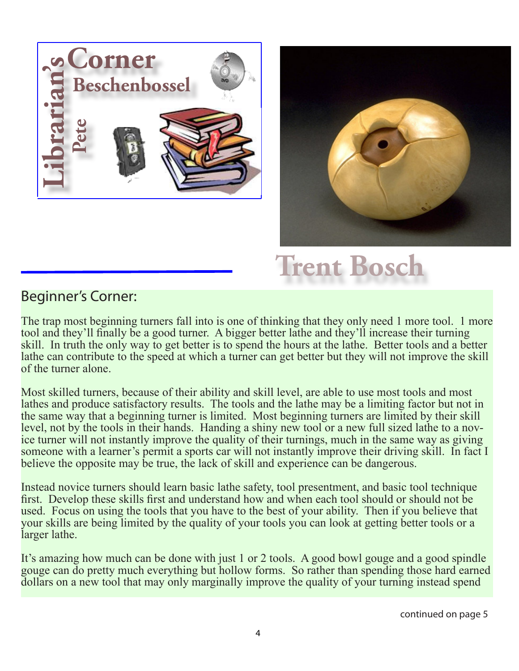



## **Trent Bosch**

## Beginner's Corner:

The trap most beginning turners fall into is one of thinking that they only need 1 more tool. 1 more tool and they'll finally be a good turner. A bigger better lathe and they'll increase their turning skill. In truth the only way to get better is to spend the hours at the lathe. Better tools and a better lathe can contribute to the speed at which a turner can get better but they will not improve the skill of the turner alone.

Most skilled turners, because of their ability and skill level, are able to use most tools and most lathes and produce satisfactory results. The tools and the lathe may be a limiting factor but not in the same way that a beginning turner is limited. Most beginning turners are limited by their skill level, not by the tools in their hands. Handing a shiny new tool or a new full sized lathe to a novice turner will not instantly improve the quality of their turnings, much in the same way as giving someone with a learner's permit a sports car will not instantly improve their driving skill. In fact I believe the opposite may be true, the lack of skill and experience can be dangerous.

Instead novice turners should learn basic lathe safety, tool presentment, and basic tool technique first. Develop these skills first and understand how and when each tool should or should not be used. Focus on using the tools that you have to the best of your ability. Then if you believe that your skills are being limited by the quality of your tools you can look at getting better tools or a larger lathe.

It's amazing how much can be done with just 1 or 2 tools. A good bowl gouge and a good spindle gouge can do pretty much everything but hollow forms. So rather than spending those hard earned dollars on a new tool that may only marginally improve the quality of your turning instead spend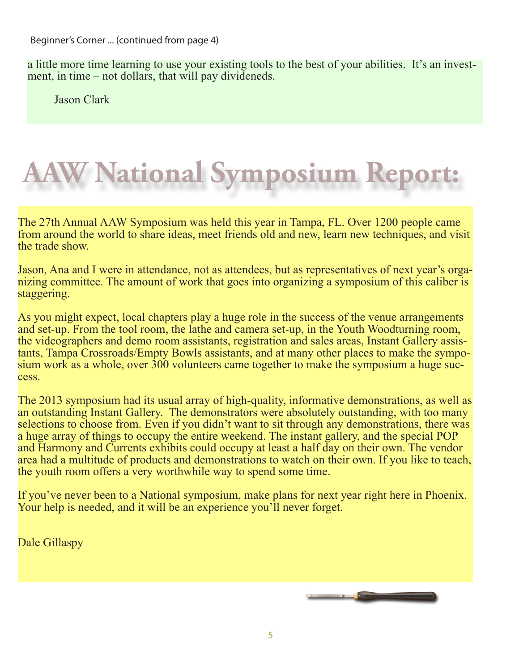a little more time learning to use your existing tools to the best of your abilities. It's an invest- ment, in time – not dollars, that will pay divideneds.

Jason Clark

# **National Symposium Report**

The 27th Annual AAW Symposium was held this year in Tampa, FL. Over 1200 people came from around the world to share ideas, meet friends old and new, learn new techniques, and visit the trade show.

Jason, Ana and I were in attendance, not as attendees, but as representatives of next year's orga- nizing committee. The amount of work that goes into organizing a symposium of this caliber is staggering.

As you might expect, local chapters play a huge role in the success of the venue arrangements and set-up. From the tool room, the lathe and camera set-up, in the Youth Woodturning room, the videographers and demo room assistants, registration and sales areas, Instant Gallery assistants, Tampa Crossroads/Empty Bowls assistants, and at many other places to make the sympo-<br>sium work as a whole, over 300 volunteers came together to make the symposium a huge suc-<br>cess.

The 2013 symposium had its usual array of high-quality, informative demonstrations, as well as an outstanding Instant Gallery. The demonstrators were absolutely outstanding, with too many selections to choose from. Even if you didn't want to sit through any demonstrations, there was a huge array of things to occupy the entire weekend. The instant gallery, and the special POP and Harmony and Currents exhibits could occupy at least a half day on their own. The vendor area had a multitude of products and demonstrations to watch on their own. If you like to teach, the youth room offers a very worthwhile way to spend some time.

If you've never been to a National symposium, make plans for next year right here in Phoenix. Your help is needed, and it will be an experience you'll never forget.

Dale Gillaspy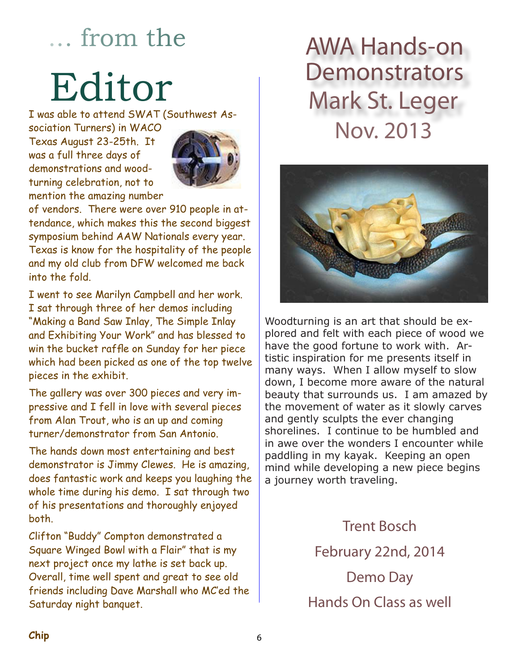## ... from the

# Editor

I was able to attend SWAT (Southwest As-

sociation Turners) in WACO Texas August 23-25th. It was a full three days of demonstrations and woodturning celebration, not to mention the amazing number



of vendors. There were over 910 people in attendance, which makes this the second biggest symposium behind AAW Nationals every year. Texas is know for the hospitality of the people and my old club from DFW welcomed me back into the fold.

I went to see Marilyn Campbell and her work. I sat through three of her demos including "Making a Band Saw Inlay, The Simple Inlay and Exhibiting Your Work" and has blessed to win the bucket raffle on Sunday for her piece which had been picked as one of the top twelve pieces in the exhibit.

The gallery was over 300 pieces and very impressive and I fell in love with several pieces from Alan Trout, who is an up and coming turner/demonstrator from San Antonio.

The hands down most entertaining and best demonstrator is Jimmy Clewes. He is amazing, does fantastic work and keeps you laughing the whole time during his demo. I sat through two of his presentations and thoroughly enjoyed both.

Clifton "Buddy" Compton demonstrated a Square Winged Bowl with a Flair" that is my next project once my lathe is set back up. Overall, time well spent and great to see old friends including Dave Marshall who MC'ed the Saturday night banquet.

## AWA Hands-on **Demonstrators** Mark St. Leger Nov. 2013



Woodturning is an art that should be explored and felt with each piece of wood we have the good fortune to work with. Artistic inspiration for me presents itself in many ways. When I allow myself to slow down, I become more aware of the natural beauty that surrounds us. I am amazed by the movement of water as it slowly carves and gently sculpts the ever changing shorelines. I continue to be humbled and in awe over the wonders I encounter while paddling in my kayak. Keeping an open mind while developing a new piece begins a journey worth traveling.

> Trent Bosch February 22nd, 2014 Demo Day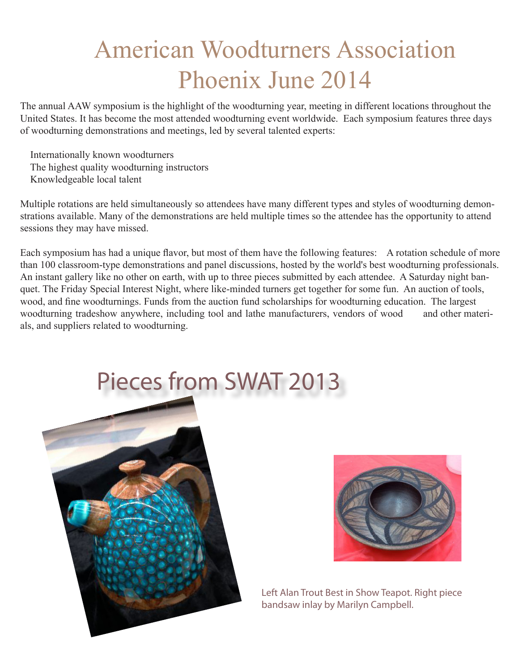## American Woodturners Association Phoenix June 2014

The annual AAW symposium is the highlight of the woodturning year, meeting in different locations throughout the United States. It has become the most attended woodturning event worldwide. Each symposium features three days of woodturning demonstrations and meetings, led by several talented experts:

 Internationally known woodturners The highest quality woodturning instructors Knowledgeable local talent

Multiple rotations are held simultaneously so attendees have many different types and styles of woodturning demonstrations available. Many of the demonstrations are held multiple times so the attendee has the opportunity to attend sessions they may have missed.

Each symposium has had a unique flavor, but most of them have the following features: A rotation schedule of more than 100 classroom-type demonstrations and panel discussions, hosted by the world's best woodturning professionals. An instant gallery like no other on earth, with up to three pieces submitted by each attendee. A Saturday night banquet. The Friday Special Interest Night, where like-minded turners get together for some fun. An auction of tools, wood, and fine woodturnings. Funds from the auction fund scholarships for woodturning education. The largest woodturning tradeshow anywhere, including tool and lathe manufacturers, vendors of wood and other materials, and suppliers related to woodturning.





Left Alan Trout Best in Show Teapot. Right piece bandsaw inlay by Marilyn Campbell.

# Pieces from SWAT 2013